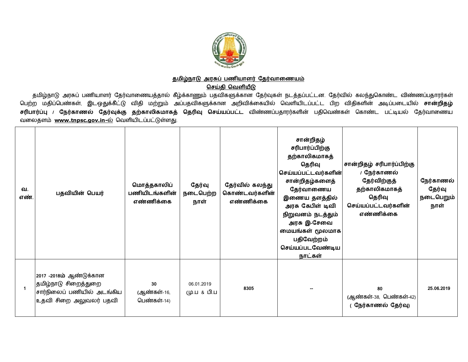

## <u>தமிழ்நாடு அரசுப் பணியாளர் தேர்வாணையம்</u>

<u>செய்தி வெளியீடு</u>

தமிழ்நாடு அரசுப் பணியாளர் தேர்வாணையத்தால் கீழ்க்காணும் பதவிகளுக்கான தேர்வுகள் நடத்தப்பட்டன. தேர்வில் கலந்துகொண்ட விண்ணப்பதாரர்கள் பெற்ற மதிப்பெண்கள், இடஒதுக்கீட்டு விதி மற்றும் அப்பதவிகளுக்கான அறிவிக்கையில் வெளியிடப்பட்ட பிற விதிகளின் அடிப்படையில் **சான்றிதழ்** <mark>சரிபார்ப்பு / நேர்காணல் தேர்வுக்கு தற்காலிகமாகத் தெரிவு செய்யப்பட்ட விண்ணப்பதாரர்களின் பதிவெண்கள் கொண்ட பட்டியல் தேர்வாணைய</mark> வலைதளம் [www.tnpsc.gov.in-](http://www.tnpsc.gov.in-)ல் வெளியிடப்பட்டுள்ளது.

| வ.<br>எண்    | பதவியின் பெயர்                                                                                           | மொத்தகாலிப்<br>பணியிடங்களின்<br>எண்ணிக்கை | தேர்வு<br>நடைபெற்ற<br>நாள் | தேர்வில் கலந்து<br>கொண்டவர்களின்<br>எண்ணிக்கை | சான்றிதழ்<br>சரிபார்ப்பிற்கு<br>தற்காலிகமாகத்<br>தெரிவு<br>செய்யப்பட்டவர்களின்<br>சான்றிதழ்களைத்<br>தேர்வாணைய<br>இணைய தளத்தில்<br>அரசு கேபிள் டிவி<br>நிறுவனம் நடத்தும்<br>அரசு இ-சேவை<br>மையங்கள் மூலமாக<br>பதிவேற்றம்<br>செய்யப்படவேண்டிய<br>நாட்கள் | சான்றிதழ் சரிபார்ப்பிற்கு<br>/ நேர்காணல்<br>தேர்விற்குத்<br>தற்காலிகமாகத்<br>தெரிவு<br>செய்யப்பட்டவர்களின்<br>எண்ணிக்கை | நேர்காணல்<br>தேர்வு<br>நடைபெறும்<br>நாள் |
|--------------|----------------------------------------------------------------------------------------------------------|-------------------------------------------|----------------------------|-----------------------------------------------|--------------------------------------------------------------------------------------------------------------------------------------------------------------------------------------------------------------------------------------------------------|-------------------------------------------------------------------------------------------------------------------------|------------------------------------------|
| $\mathbf{1}$ | 2017 -2018ம் ஆண்டுக்கான<br>தமிழ்நாடு சிறைத்துறை<br>சார்நிலைப் பணியில் அடங்கிய<br> உதவி சிறை அலுவலர் பதவி | 30<br>(ஆண்கள்-16,<br>பெண்கள்-14)          | 06.01.2019<br>மு.ப & பி.ப  | 8305                                          |                                                                                                                                                                                                                                                        | 80<br>(ஆண்கள்-38, பெண்கள்-42)<br>நேர்காணல் தேர்வு)                                                                      | 25.06.2019                               |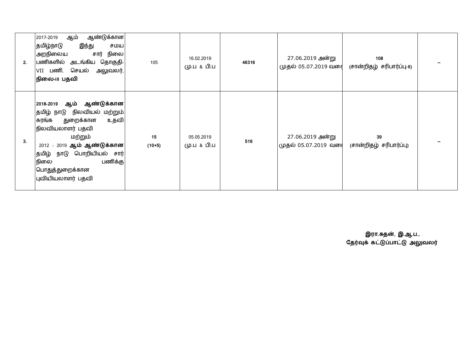| 2. | ஆண்டுக்கான <br>ஆம்<br>2017-2019<br>தமிழ்நாடு<br>இந்து<br>சமய<br>சார் நிலை<br>அறநிலைய<br>பணிகளில் அடங்கிய தொகுதி-<br>$ {\sf VII}$ பணி, செயல் அலுவலர், $ $<br>நிலை-படபதவி                                                                           | 105            | 16.02.2019<br>மு.ப & பி.ப | 46316 | 27.06.2019 அன்று<br>முதல் 05.07.2019 வரை | 108<br>(சான்றிதழ் சரிபார்ப்பு-။) |  |
|----|---------------------------------------------------------------------------------------------------------------------------------------------------------------------------------------------------------------------------------------------------|----------------|---------------------------|-------|------------------------------------------|----------------------------------|--|
| 3. | 2018-2019 ஆம் ஆண்டுக்கான <br> தமிழ் நாடு நிலவியல் மற்றும் <br>துறைக்கான<br>உதவி<br>சுரங்க<br>நிலவியலாளர் பதவி<br>மற்றும்<br>2012 - 2019 ஆம் ஆண்டுக்கான <br> தமிழ் நாடு பொறியியல் சார் <br>பணிக்கு<br>நிலை<br>பொதுத்துறைக்கான<br>புவியியலாளர் பதவி | 15<br>$(10+5)$ | 05.05.2019<br>மு.ப & பி.ப | 516   | 27.06.2019 அன்று<br>முதல் 05.07.2019 வரை | 39<br>(சான்றிதழ் சரிபார்ப்பு)    |  |

**இரா.சுதன, இ.ஆ.ப.,** தேரவுக கட்டுப்பாட்டு அலுவலர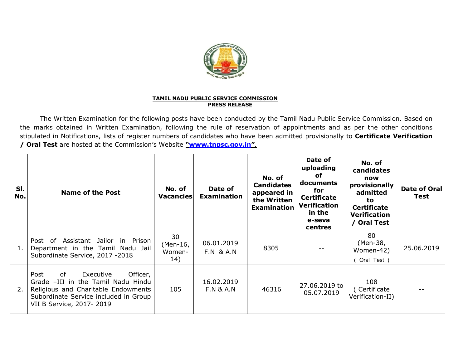

## **TAMIL NADU PUBLIC SERVICE COMMISSION PRESS RELEASE**

The Written Examination for the following posts have been conducted by the Tamil Nadu Public Service Commission. Based on the marks obtained in Written Examination, following the rule of reservation of appointments and as per the other conditions stipulated in Notifications, lists of register numbers of candidates who have been admitted provisionally to **Certificate Verification / Oral Test** are hosted at the Commission's Website **["www.tnpsc.gov.in](http://www.tnpsc.gov.in)"**.

| SI.<br>No. | Name of the Post                                                                                                                                                                       | No. of<br><b>Vacancies</b>      | Date of<br><b>Examination</b>      | No. of<br><b>Candidates</b><br>appeared in<br>the Written<br><b>Examination</b> | Date of<br>uploading<br>οf<br>documents<br>for<br><b>Certificate</b><br><b>Verification</b><br>in the<br>e-seva<br>centres | No. of<br>candidates<br>now<br>provisionally<br>admitted<br>to<br><b>Certificate</b><br><b>Verification</b><br>/ Oral Test | Date of Oral<br>Test |
|------------|----------------------------------------------------------------------------------------------------------------------------------------------------------------------------------------|---------------------------------|------------------------------------|---------------------------------------------------------------------------------|----------------------------------------------------------------------------------------------------------------------------|----------------------------------------------------------------------------------------------------------------------------|----------------------|
| 1.         | Jailor in Prison<br>Assistant<br>Post of<br>Department in the Tamil Nadu Jail<br>Subordinate Service, 2017 -2018                                                                       | 30<br>(Men-16,<br>Women-<br>14) | 06.01.2019<br><b>F.N &amp; A.N</b> | 8305                                                                            |                                                                                                                            | 80<br>(Men-38,<br>Women-42)<br>Oral Test )                                                                                 | 25.06.2019           |
| 2.         | of<br>Executive<br>Officer,<br>Post<br>Grade -III in the Tamil Nadu Hindu<br>Religious and Charitable Endowments<br>Subordinate Service included in Group<br>VII B Service, 2017- 2019 | 105                             | 16.02.2019<br><b>F.N &amp; A.N</b> | 46316                                                                           | 27.06.2019 to<br>05.07.2019                                                                                                | 108<br>(Certificate<br>Verification-II)                                                                                    |                      |